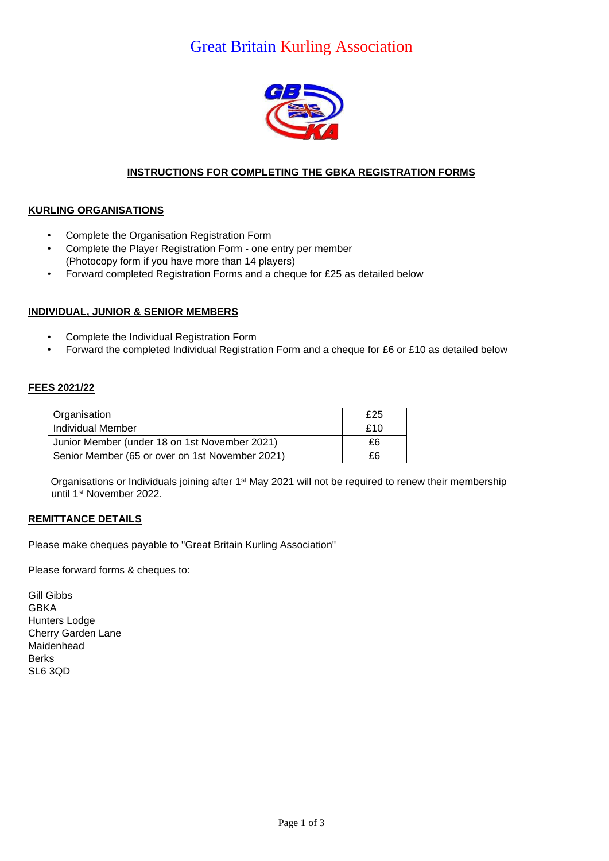## Great Britain Kurling Association



### **INSTRUCTIONS FOR COMPLETING THE GBKA REGISTRATION FORMS**

### **KURLING ORGANISATIONS**

- Complete the Organisation Registration Form
- Complete the Player Registration Form one entry per member (Photocopy form if you have more than 14 players)
- Forward completed Registration Forms and a cheque for £25 as detailed below

#### **INDIVIDUAL, JUNIOR & SENIOR MEMBERS**

- Complete the Individual Registration Form
- Forward the completed Individual Registration Form and a cheque for £6 or £10 as detailed below

#### **FEES 2021/22**

| Organisation                                    | £25 |
|-------------------------------------------------|-----|
| Individual Member                               | £10 |
| Junior Member (under 18 on 1st November 2021)   | £6  |
| Senior Member (65 or over on 1st November 2021) | £6  |

Organisations or Individuals joining after 1<sup>st</sup> May 2021 will not be required to renew their membership until 1st November 2022.

#### **REMITTANCE DETAILS**

Please make cheques payable to "Great Britain Kurling Association"

Please forward forms & cheques to:

Gill Gibbs GBKA Hunters Lodge Cherry Garden Lane Maidenhead **Berks** SL6 3QD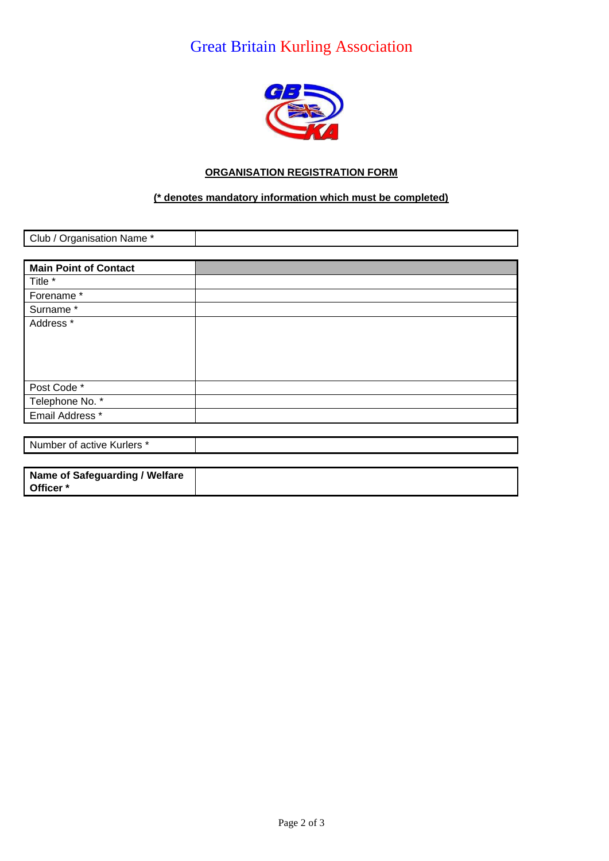# Great Britain Kurling Association



### **ORGANISATION REGISTRATION FORM**

### **(\* denotes mandatory information which must be completed)**

| Club / Organisation Name *     |  |
|--------------------------------|--|
|                                |  |
| <b>Main Point of Contact</b>   |  |
| Title *                        |  |
| Forename*                      |  |
| Surname*                       |  |
| Address *                      |  |
|                                |  |
|                                |  |
|                                |  |
| Post Code*                     |  |
| Telephone No. *                |  |
| Email Address *                |  |
|                                |  |
| Number of active Kurlers *     |  |
|                                |  |
| Name of Safeguarding / Welfare |  |

**Officer \***